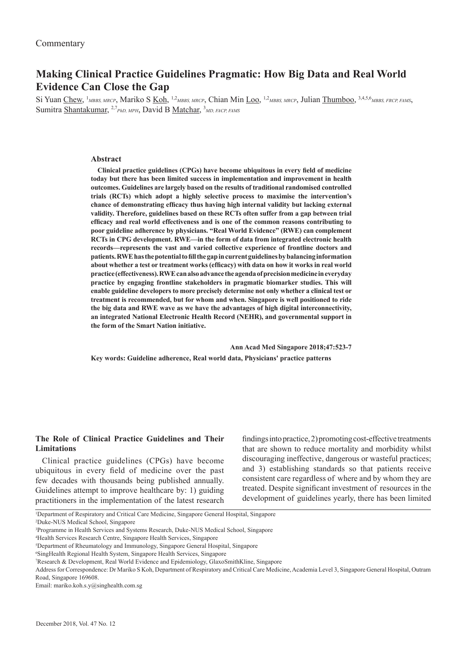# **Making Clinical Practice Guidelines Pragmatic: How Big Data and Real World Evidence Can Close the Gap**

Si Yuan Chew, <sup>1</sup>MBBS, MRCP, Mariko S <u>Koh</u>, <sup>1,2</sup>MBBS, MRCP, Chian Min Loo, <sup>1,2</sup>MBBS, MRCP, Julian Thumboo, <sup>3,4,5,6</sup>MBBS, FRCP, FAMS, Sumitra Shantakumar, <sup>2,7</sup>PhD, MPH, David B Matchar, <sup>3</sup>MD, FACP, FAMS

### **Abstract**

**Clinical practice guidelines (CPGs) have become ubiquitous in every field of medicine today but there has been limited success in implementation and improvement in health outcomes. Guidelines are largely based on the results of traditional randomised controlled trials (RCTs) which adopt a highly selective process to maximise the intervention's chance of demonstrating efficacy thus having high internal validity but lacking external validity. Therefore, guidelines based on these RCTs often suffer from a gap between trial efficacy and real world effectiveness and is one of the common reasons contributing to poor guideline adherence by physicians. "Real World Evidence" (RWE) can complement RCTs in CPG development. RWE—in the form of data from integrated electronic health records—represents the vast and varied collective experience of frontline doctors and patients. RWE has the potential to fill the gap in current guidelines by balancing information about whether a test or treatment works (efficacy) with data on how it works in real world practice (effectiveness). RWE can also advance the agenda of precision medicine in everyday practice by engaging frontline stakeholders in pragmatic biomarker studies. This will enable guideline developers to more precisely determine not only whether a clinical test or treatment is recommended, but for whom and when. Singapore is well positioned to ride the big data and RWE wave as we have the advantages of high digital interconnectivity, an integrated National Electronic Health Record (NEHR), and governmental support in the form of the Smart Nation initiative.** 

 **Ann Acad Med Singapore 2018;47:523-7 Key words: Guideline adherence, Real world data, Physicians' practice patterns**

# **The Role of Clinical Practice Guidelines and Their Limitations**

Clinical practice guidelines (CPGs) have become ubiquitous in every field of medicine over the past few decades with thousands being published annually. Guidelines attempt to improve healthcare by: 1) guiding practitioners in the implementation of  the latest research

findings into practice, 2) promoting cost-effective treatments that are shown to reduce mortality and morbidity whilst discouraging ineffective, dangerous or wasteful practices; and 3) establishing standards so that patients receive consistent care regardless of where and by whom they are treated. Despite significant investment of resources in the development of guidelines yearly, there has been limited

2 Duke-NUS Medical School, Singapore

Email: mariko.koh.s.y@singhealth.com.sg

<sup>1</sup> Department of Respiratory and Critical Care Medicine, Singapore General Hospital, Singapore

<sup>3</sup> Programme in Health Services and Systems Research, Duke-NUS Medical School, Singapore

<sup>4</sup> Health Services Research Centre, Singapore Health Services, Singapore

<sup>5</sup> Department of Rheumatology and Immunology, Singapore General Hospital, Singapore

<sup>6</sup> SingHealth Regional Health System, Singapore Health Services, Singapore

<sup>7</sup> Research & Development, Real World Evidence and Epidemiology, GlaxoSmithKline, Singapore

Address for Correspondence: Dr Mariko S Koh, Department of Respiratory and Critical Care Medicine, Academia Level 3, Singapore General Hospital, Outram Road, Singapore 169608.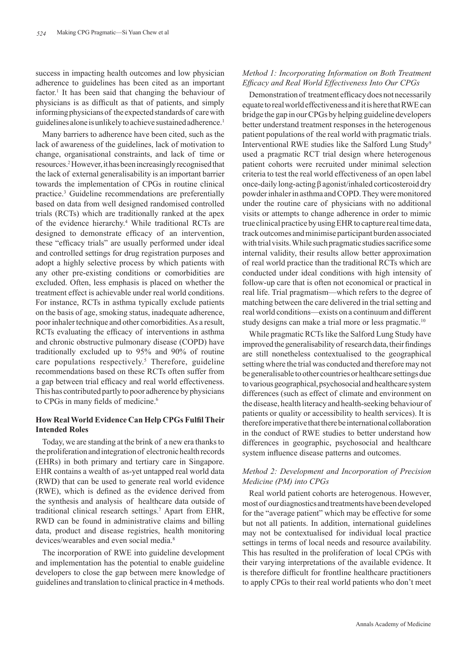success in impacting health outcomes and low physician adherence to guidelines has been cited as an important factor.<sup>1</sup> It has been said that changing the behaviour of physicians is as difficult as that of patients, and simply informing physicians of the expected standards of care with guidelines alone is unlikely to achieve sustained adherence.<sup>1</sup>

Many barriers to adherence have been cited, such as the lack of awareness of the guidelines, lack of motivation to change, organisational constraints, and lack of time or resources.2 However, it has been increasingly recognised that the lack of external generalisability is an important barrier towards the implementation of CPGs in routine clinical practice.3 Guideline recommendations are preferentially based on data from well designed randomised controlled trials (RCTs) which are traditionally ranked at the apex of the evidence hierarchy.<sup>4</sup> While traditional RCTs are designed to demonstrate efficacy of an intervention, these "efficacy trials" are usually performed under ideal and controlled settings for drug registration purposes and adopt a highly selective process by which patients with any other pre-existing conditions or comorbidities are excluded. Often, less emphasis is placed on whether the treatment effect is achievable under real world conditions. For instance, RCTs in asthma typically exclude patients on the basis of age, smoking status, inadequate adherence, poor inhaler technique and other comorbidities. As a result, RCTs evaluating the efficacy of interventions in asthma and chronic obstructive pulmonary disease (COPD) have traditionally excluded up to 95% and 90% of routine care populations respectively.<sup>5</sup> Therefore, guideline recommendations based on these RCTs often suffer from a gap between trial efficacy and real world effectiveness. This has contributed partly to poor adherence by physicians to CPGs in many fields of medicine.<sup>6</sup>

# **How Real World Evidence Can Help CPGs Fulfil Their Intended Roles**

Today, we are standing at the brink of a new era thanks to the proliferation and integration of electronic health records (EHRs) in both primary and tertiary care in Singapore. EHR contains a wealth of as-yet untapped real world data (RWD) that can be used to generate real world evidence (RWE), which is defined as the evidence derived from the synthesis and analysis of healthcare data outside of traditional clinical research settings.7 Apart from EHR, RWD can be found in administrative claims and billing data, product and disease registries, health monitoring devices/wearables and even social media.<sup>8</sup>

The incorporation of  RWE into guideline development and implementation has the potential to enable guideline developers to close the gap between mere knowledge of guidelines and translation to clinical practice in 4 methods.

# *Method 1: Incorporating Information on Both Treatment Efficacy and Real World Effectiveness Into Our CPGs*

Demonstration of treatment efficacy does not necessarily equate to real world effectiveness and it is here that RWE can bridge the gap in our CPGs by helping guideline developers better understand treatment responses in the heterogenous patient populations of the real world with pragmatic trials. Interventional RWE studies like the Salford Lung Study<sup>9</sup> used a pragmatic RCT trial design where heterogenous patient cohorts were recruited under minimal selection criteria to test the real world effectiveness of  an open label once-daily long-acting β agonist/inhaled corticosteroid dry powder inhaler in asthma and COPD. They were monitored under the routine care of physicians with no additional visits or attempts to change adherence in order to mimic true clinical practice by using EHR to capture real time data, track outcomes and minimise participant burden associated with trial visits. While such pragmatic studies sacrifice some internal validity, their results allow better approximation of  real world practice than the traditional RCTs which are conducted under ideal conditions with high intensity of follow-up care that is often not economical or practical in real life. Trial pragmatism—which refers to the degree of matching between the care delivered in the trial setting and real world conditions—exists on a continuum and different study designs can make a trial more or less pragmatic.<sup>10</sup>

While pragmatic RCTs like the Salford Lung Study have improved the generalisability of research data, their findings are still nonetheless contextualised to the geographical setting where the trial was conducted and therefore may not be generalisable to other countries or healthcare settings due to various geographical, psychosocial and healthcare system differences (such as effect of  climate and environment on the disease, health literacy and health-seeking behaviour of patients or quality or accessibility to health services). It is therefore imperative that there be international collaboration in the conduct of RWE studies to better understand how differences in geographic, psychosocial and healthcare system influence disease patterns and outcomes.

# *Method 2: Development and Incorporation of Precision Medicine (PM) into CPGs*

Real world patient cohorts are heterogenous. However, most of our diagnostics and treatments have been developed for the "average patient" which may be effective for some but not all patients. In addition, international guidelines may not be contextualised for individual local practice settings in terms of local needs and resource availability. This has resulted in the proliferation of local CPGs with their varying interpretations of the available evidence. It is therefore difficult for frontline healthcare practitioners to apply CPGs to their real world patients who don't meet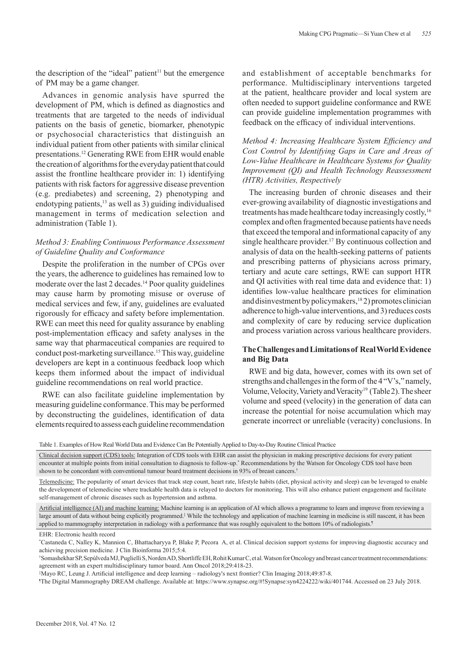the description of the "ideal" patient<sup>11</sup> but the emergence of PM may be a game changer.

Advances in genomic analysis have spurred the development of  PM, which is defined as diagnostics and treatments that are targeted to the needs of individual patients on the basis of genetic, biomarker, phenotypic or psychosocial characteristics that distinguish an individual patient from other patients with similar clinical presentations.12 Generating RWE from EHR would enable the creation of algorithms for the everyday patient that could assist the frontline healthcare provider in: 1) identifying patients with risk factors for aggressive disease prevention (e.g. prediabetes) and screening, 2) phenotyping and endotyping patients, $13$  as well as 3) guiding individualised management in terms of medication selection and administration (Table 1).

### *Method 3: Enabling Continuous Performance Assessment of Guideline Quality and Conformance*

Despite the proliferation in the number of CPGs over the years, the adherence to guidelines has remained low to moderate over the last 2 decades.<sup>14</sup> Poor quality guidelines may cause harm by promoting misuse or overuse of medical services and few, if any, guidelines are evaluated rigorously for efficacy and safety before implementation. RWE can meet this need for quality assurance by enabling post-implementation efficacy and safety analyses in the same way that pharmaceutical companies are required to conduct post-marketing surveillance.15 This way, guideline developers are kept in a continuous feedback loop which keeps them informed about the impact of individual guideline recommendations on real world practice.

RWE can also facilitate guideline implementation by measuring guideline conformance. This may be performed by deconstructing the guidelines, identification of data elements required to assess each guideline recommendation

and establishment of acceptable benchmarks for performance. Multidisciplinary interventions targeted at the patient, healthcare provider and local system are often needed to support guideline conformance and RWE can provide guideline implementation programmes with feedback on the efficacy of individual interventions.

# *Method 4: Increasing Healthcare System Efficiency and Cost Control by Identifying Gaps in Care and Areas of Low-Value Healthcare in Healthcare Systems for Quality Improvement (QI) and Health Technology Reassessment (HTR) Activities, Respectively*

The increasing burden of chronic diseases and their ever-growing availability of diagnostic investigations and treatments has made healthcare today increasingly costly,16 complex and often fragmented because patients have needs that exceed the temporal and informational capacity of any single healthcare provider.<sup>17</sup> By continuous collection and analysis of data on the health-seeking patterns of patients and prescribing patterns of physicians across primary, tertiary and acute care settings, RWE can support HTR and QI activities with real time data and evidence that: 1) identifies low-value healthcare practices for elimination and disinvestment by policymakers,  $18$  2) promotes clinician adherence to high-value interventions, and 3) reduces costs and complexity of care by reducing service duplication and process variation across various healthcare providers.

# **The Challenges and Limitations of Real World Evidence and Big Data**

RWE and big data, however, comes with its own set of strengths and challenges in the form of the 4 "V's," namely, Volume, Velocity, Variety and Veracity<sup>19</sup> (Table 2). The sheer volume and speed (velocity) in the generation of data can increase the potential for noise accumulation which may generate incorrect or unreliable (veracity) conclusions. In

Clinical decision support (CDS) tools: Integration of CDS tools with EHR can assist the physician in making prescriptive decisions for every patient encounter at multiple points from initial consultation to diagnosis to follow-up.\* Recommendations by the Watson for Oncology CDS tool have been shown to be concordant with conventional tumour board treatment decisions in 93% of breast cancers.†

Telemedicine: The popularity of smart devices that track step count, heart rate, lifestyle habits (diet, physical activity and sleep) can be leveraged to enable the development of telemedicine where trackable health data is relayed to doctors for monitoring. This will also enhance patient engagement and facilitate self-management of chronic diseases such as hypertension and asthma.

Artificial intelligence (AI) and machine learning: Machine learning is an application of AI which allows a programme to learn and improve from reviewing a large amount of data without being explicitly programmed.<sup>‡</sup> While the technology and application of machine learning in medicine is still nascent, it has been applied to mammography interpretation in radiology with a performance that was roughly equivalent to the bottom 10% of radiologists.<sup>1</sup>

EHR: Electronic health record

† Somashekhar SP, Sepúlveda MJ, Puglielli S, Norden AD, Shortliffe EH, Rohit Kumar C, et al. Watson for Oncology and breast cancer treatment recommendations: agreement with an expert multidisciplinary tumor board. Ann Oncol 2018;29:418-23.

‡ Mayo RC, Leung J. Artificial intelligence and deep learning – radiology's next frontier? Clin Imaging 2018;49:87-8.

¶ The Digital Mammography DREAM challenge. Available at: https://www.synapse.org/#!Synapse:syn4224222/wiki/401744. Accessed on 23 July 2018.

Table 1. Examples of How Real World Data and Evidence Can Be Potentially Applied to Day-to-Day Routine Clinical Practice

<sup>\*</sup> Castaneda C, Nalley K, Mannion C, Bhattacharyya P, Blake P, Pecora A, et al. Clinical decision support systems for improving diagnostic accuracy and achieving precision medicine. J Clin Bioinforma 2015;5:4.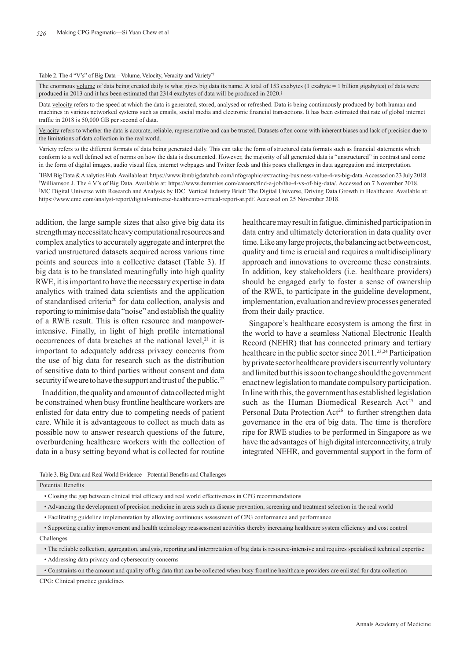#### Table 2. The 4 "V's" of Big Data – Volume, Velocity, Veracity and Variety\*†

The enormous volume of data being created daily is what gives big data its name. A total of 153 exabytes (1 exabyte  $= 1$  billion gigabytes) of data were produced in 2013 and it has been estimated that 2314 exabytes of data will be produced in 2020.‡

Data velocity refers to the speed at which the data is generated, stored, analysed or refreshed. Data is being continuously produced by both human and machines in various networked systems such as emails, social media and electronic financial transactions. It has been estimated that rate of global internet traffic in 2018 is 50,000 GB per second of data.

Veracity refers to whether the data is accurate, reliable, representative and can be trusted. Datasets often come with inherent biases and lack of precision due to the limitations of data collection in the real world.

Variety refers to the different formats of data being generated daily. This can take the form of structured data formats such as financial statements which conform to a well defined set of norms on how the data is documented. However, the majority of all generated data is "unstructured" in contrast and come in the form of digital images, audio visual files, internet webpages and Twitter feeds and this poses challenges in data aggregation and interpretation.

\* IBM Big Data & Analytics Hub. Available at: https://www.ibmbigdatahub.com/infographic/extracting-business-value-4-vs-big-data. Accessed on 23 July 2018. † Williamson J. The 4 V's of Big Data. Available at: https://www.dummies.com/careers/find-a-job/the-4-vs-of-big-data/. Accessed on 7 November 2018. ‡ MC Digital Universe with Research and Analysis by IDC. Vertical Industry Brief: The Digital Universe, Driving Data Growth in Healthcare. Available at: https://www.emc.com/analyst-report/digital-universe-healthcare-vertical-report-ar.pdf. Accessed on 25 November 2018.

addition, the large sample sizes that also give big data its strength may necessitate heavy computational resources and complex analytics to accurately aggregate and interpret the varied unstructured datasets acquired across various time points and sources into a collective dataset (Table 3). If big data is to be translated meaningfully into high quality RWE, it is important to have the necessary expertise in data analytics with trained data scientists and the application of standardised criteria<sup>20</sup> for data collection, analysis and reporting to minimise data "noise" and establish the quality of a RWE result. This is often resource and manpowerintensive. Finally, in light of high profile international occurrences of data breaches at the national level, $21$  it is important to adequately address privacy concerns from the use of big data for research such as the distribution of sensitive data to third parties without consent and data security if we are to have the support and trust of the public.<sup>22</sup>

In addition, the quality and amount of data collected might be constrained when busy frontline healthcare workers are enlisted for data entry due to competing needs of patient care. While it is advantageous to collect as much data as possible now to answer research questions of the future, overburdening healthcare workers with the collection of data in a busy setting beyond what is collected for routine healthcare may result in fatigue, diminished participation in data entry and ultimately deterioration in data quality over time. Like any large projects, the balancing act between cost, quality and time is crucial and requires a multidisciplinary approach and innovations to overcome these constraints. In addition, key stakeholders (i.e. healthcare providers) should be engaged early to foster a sense of ownership of the RWE, to participate in the guideline development, implementation, evaluation and review processes generated from their daily practice.

Singapore's healthcare ecosystem is among the first in the world to have a seamless National Electronic Health Record (NEHR) that has connected primary and tertiary healthcare in the public sector since 2011.<sup>23,24</sup> Participation by private sector healthcare providers is currently voluntary and limited but this is soon to change should the government enact new legislation to mandate compulsory participation. In line with this, the government has established legislation such as the Human Biomedical Research  $Act^{25}$  and Personal Data Protection Act<sup>26</sup> to further strengthen data governance in the era of big data. The time is therefore ripe for RWE studies to be performed in Singapore as we have the advantages of high digital interconnectivity, a truly integrated NEHR, and governmental support in the form of

Table 3. Big Data and Real World Evidence – Potential Benefits and Challenges

### Potential Benefits

- Closing the gap between clinical trial efficacy and real world effectiveness in CPG recommendations
- Advancing the development of precision medicine in areas such as disease prevention, screening and treatment selection in the real world
- Facilitating guideline implementation by allowing continuous assessment of CPG conformance and performance

 • Supporting quality improvement and health technology reassessment activities thereby increasing healthcare system efficiency and cost control Challenges

- The reliable collection, aggregation, analysis, reporting and interpretation of big data is resource-intensive and requires specialised technical expertise
- Addressing data privacy and cybersecurity concerns

• Constraints on the amount and quality of big data that can be collected when busy frontline healthcare providers are enlisted for data collection

CPG: Clinical practice guidelines